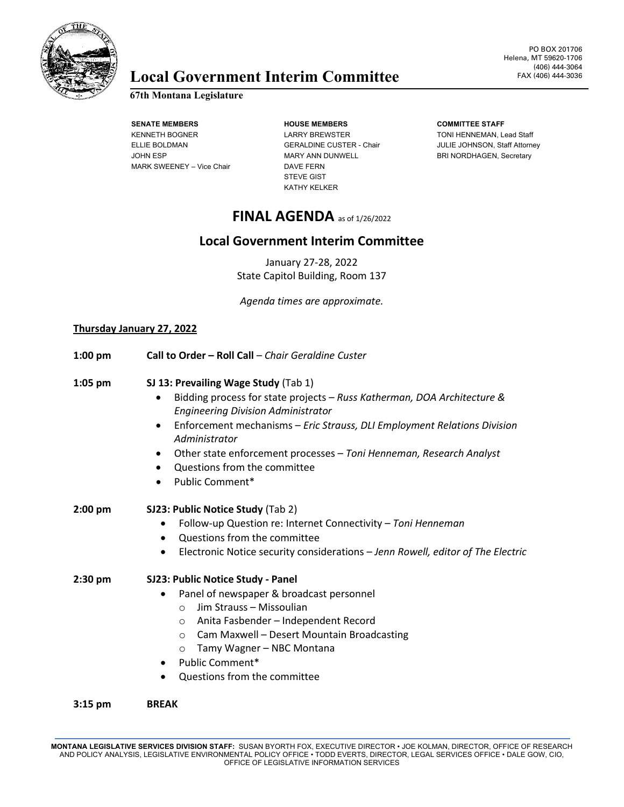

# **Local Government Interim Committee**

## **67th Montana Legislature**

**SENATE MEMBERS HOUSE MEMBERS COMMITTEE STAFF** MARK SWEENEY – Vice Chair DAVE FERN

KENNETH BOGNER LARRY BREWSTER TONI HENNEMAN, Lead Staff JOHN ESP **MARY ANN DUNWELL** BRI NORDHAGEN, Secretary STEVE GIST KATHY KELKER

ELLIE BOLDMAN GERALDINE CUSTER - Chair JULIE JOHNSON, Staff Attorney

## **FINAL AGENDA** as of 1/26/2022

## **Local Government Interim Committee**

January 27-28, 2022 State Capitol Building, Room 137

*Agenda times are approximate.*

### **Thursday January 27, 2022**

| $1:00$ pm | Call to Order - Roll Call - Chair Geraldine Custer                                                                                                                                                                                                                                                                                                                                                                                      |
|-----------|-----------------------------------------------------------------------------------------------------------------------------------------------------------------------------------------------------------------------------------------------------------------------------------------------------------------------------------------------------------------------------------------------------------------------------------------|
| $1:05$ pm | SJ 13: Prevailing Wage Study (Tab 1)<br>Bidding process for state projects - Russ Katherman, DOA Architecture &<br><b>Engineering Division Administrator</b><br>Enforcement mechanisms - Eric Strauss, DLI Employment Relations Division<br>$\bullet$<br>Administrator<br>Other state enforcement processes - Toni Henneman, Research Analyst<br>$\bullet$<br>Questions from the committee<br>$\bullet$<br>Public Comment*<br>$\bullet$ |
| $2:00$ pm | SJ23: Public Notice Study (Tab 2)<br>Follow-up Question re: Internet Connectivity - Toni Henneman<br>Questions from the committee<br>٠<br>Electronic Notice security considerations - Jenn Rowell, editor of The Electric                                                                                                                                                                                                               |
| $2:30$ pm | SJ23: Public Notice Study - Panel<br>Panel of newspaper & broadcast personnel<br>$\bullet$<br>Jim Strauss - Missoulian<br>$\Omega$<br>Anita Fasbender - Independent Record<br>$\circ$<br>Cam Maxwell - Desert Mountain Broadcasting<br>$\circ$<br>Tamy Wagner - NBC Montana<br>$\circ$<br>Public Comment*<br>$\bullet$<br>Questions from the committee                                                                                  |
| $3:15$ pm | <b>BREAK</b>                                                                                                                                                                                                                                                                                                                                                                                                                            |

MONTANA LEGISLATIVE SERVICES DIVISION STAFF: SUSAN BYORTH FOX, EXECUTIVE DIRECTOR • JOE KOLMAN, DIRECTOR, OFFICE OF RESEARCH<br>AND POLICY ANALYSIS, LEGISLATIVE ENVIRONMENTAL POLICY OFFICE • TODD EVERTS, DIRECTOR, LEGAL SER OFFICE OF LEGISLATIVE INFORMATION SERVICES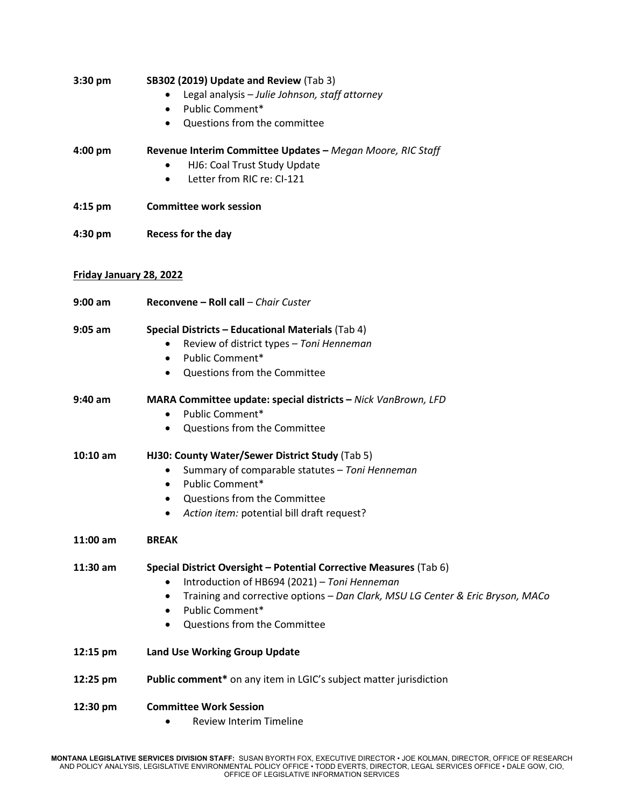| 3:30 pm                 | SB302 (2019) Update and Review (Tab 3)<br>Legal analysis - Julie Johnson, staff attorney<br>Public Comment*<br>$\bullet$<br>Questions from the committee<br>$\bullet$                                                                                                                  |
|-------------------------|----------------------------------------------------------------------------------------------------------------------------------------------------------------------------------------------------------------------------------------------------------------------------------------|
| $4:00$ pm               | Revenue Interim Committee Updates - Megan Moore, RIC Staff<br>HJ6: Coal Trust Study Update<br>Letter from RIC re: CI-121<br>٠                                                                                                                                                          |
| $4:15$ pm               | <b>Committee work session</b>                                                                                                                                                                                                                                                          |
| 4:30 pm                 | Recess for the day                                                                                                                                                                                                                                                                     |
| Friday January 28, 2022 |                                                                                                                                                                                                                                                                                        |
| $9:00$ am               | Reconvene - Roll call - Chair Custer                                                                                                                                                                                                                                                   |
| $9:05$ am               | <b>Special Districts - Educational Materials (Tab 4)</b><br>Review of district types - Toni Henneman<br>٠<br>Public Comment*<br>$\bullet$<br>Questions from the Committee<br>$\bullet$                                                                                                 |
| $9:40$ am               | MARA Committee update: special districts - Nick VanBrown, LFD<br>Public Comment*<br>$\bullet$<br>Questions from the Committee                                                                                                                                                          |
| $10:10$ am              | HJ30: County Water/Sewer District Study (Tab 5)<br>Summary of comparable statutes - Toni Henneman<br>٠<br>Public Comment*<br>$\bullet$<br>Questions from the Committee<br>٠<br>Action item: potential bill draft request?                                                              |
| 11:00 am                | <b>BREAK</b>                                                                                                                                                                                                                                                                           |
| $11:30$ am              | Special District Oversight - Potential Corrective Measures (Tab 6)<br>Introduction of HB694 (2021) - Toni Henneman<br>Training and corrective options - Dan Clark, MSU LG Center & Eric Bryson, MACo<br>٠<br>Public Comment*<br>$\bullet$<br>Questions from the Committee<br>$\bullet$ |
| 12:15 pm                | <b>Land Use Working Group Update</b>                                                                                                                                                                                                                                                   |
| 12:25 pm                | Public comment* on any item in LGIC's subject matter jurisdiction                                                                                                                                                                                                                      |
| 12:30 pm                | <b>Committee Work Session</b><br><b>Review Interim Timeline</b>                                                                                                                                                                                                                        |